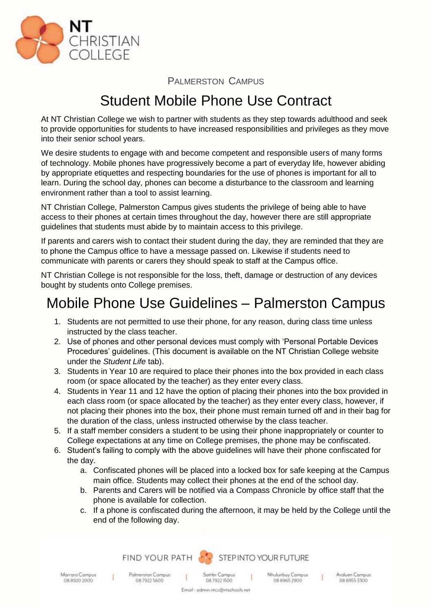

PALMERSTON CAMPUS

## Student Mobile Phone Use Contract

At NT Christian College we wish to partner with students as they step towards adulthood and seek to provide opportunities for students to have increased responsibilities and privileges as they move into their senior school years.

We desire students to engage with and become competent and responsible users of many forms of technology. Mobile phones have progressively become a part of everyday life, however abiding by appropriate etiquettes and respecting boundaries for the use of phones is important for all to learn. During the school day, phones can become a disturbance to the classroom and learning environment rather than a tool to assist learning.

NT Christian College, Palmerston Campus gives students the privilege of being able to have access to their phones at certain times throughout the day, however there are still appropriate guidelines that students must abide by to maintain access to this privilege.

If parents and carers wish to contact their student during the day, they are reminded that they are to phone the Campus office to have a message passed on. Likewise if students need to communicate with parents or carers they should speak to staff at the Campus office.

NT Christian College is not responsible for the loss, theft, damage or destruction of any devices bought by students onto College premises.

## Mobile Phone Use Guidelines – Palmerston Campus

- 1. Students are not permitted to use their phone, for any reason, during class time unless instructed by the class teacher.
- 2. Use of phones and other personal devices must comply with 'Personal Portable Devices Procedures' guidelines. (This document is available on the NT Christian College website under the *Student Life* tab).
- 3. Students in Year 10 are required to place their phones into the box provided in each class room (or space allocated by the teacher) as they enter every class.
- 4. Students in Year 11 and 12 have the option of placing their phones into the box provided in each class room (or space allocated by the teacher) as they enter every class, however, if not placing their phones into the box, their phone must remain turned off and in their bag for the duration of the class, unless instructed otherwise by the class teacher.
- 5. If a staff member considers a student to be using their phone inappropriately or counter to College expectations at any time on College premises, the phone may be confiscated.
- 6. Student's failing to comply with the above guidelines will have their phone confiscated for the day.
	- a. Confiscated phones will be placed into a locked box for safe keeping at the Campus main office. Students may collect their phones at the end of the school day.
	- b. Parents and Carers will be notified via a Compass Chronicle by office staff that the phone is available for collection.
	- c. If a phone is confiscated during the afternoon, it may be held by the College until the end of the following day.



Marrara Campus 08 8920 2000

 $\mathbf{I}$ 

0879225600

Polmerston Campus

Sattler Campus 08 7922 1500

Nhulunbuy Campus 08 8965 2900

Araluen Campus 08 8955 3300

 $\mathbf{I}$ 

Email - admin.ntcc@ntschools.net